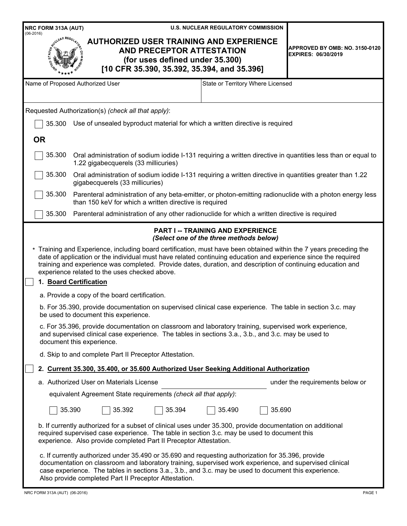| NRC FORM 313A (AUT)<br>$(06-2016)$                                                                                                                                                                                                                                                                                                                                                                   |                                                                                                                                                                                                                                                                                                                                                                                 | <b>U.S. NUCLEAR REGULATORY COMMISSION</b>                                           |                                                              |  |
|------------------------------------------------------------------------------------------------------------------------------------------------------------------------------------------------------------------------------------------------------------------------------------------------------------------------------------------------------------------------------------------------------|---------------------------------------------------------------------------------------------------------------------------------------------------------------------------------------------------------------------------------------------------------------------------------------------------------------------------------------------------------------------------------|-------------------------------------------------------------------------------------|--------------------------------------------------------------|--|
|                                                                                                                                                                                                                                                                                                                                                                                                      | <b>AUTHORIZED USER TRAINING AND EXPERIENCE</b><br>AND PRECEPTOR ATTESTATION<br>(for uses defined under 35.300)<br>[10 CFR 35.390, 35.392, 35.394, and 35.396]                                                                                                                                                                                                                   |                                                                                     | APPROVED BY OMB: NO. 3150-0120<br><b>EXPIRES: 06/30/2019</b> |  |
|                                                                                                                                                                                                                                                                                                                                                                                                      | Name of Proposed Authorized User                                                                                                                                                                                                                                                                                                                                                | State or Territory Where Licensed                                                   |                                                              |  |
|                                                                                                                                                                                                                                                                                                                                                                                                      | Requested Authorization(s) (check all that apply):                                                                                                                                                                                                                                                                                                                              |                                                                                     |                                                              |  |
| 35.300                                                                                                                                                                                                                                                                                                                                                                                               | Use of unsealed byproduct material for which a written directive is required                                                                                                                                                                                                                                                                                                    |                                                                                     |                                                              |  |
| <b>OR</b>                                                                                                                                                                                                                                                                                                                                                                                            |                                                                                                                                                                                                                                                                                                                                                                                 |                                                                                     |                                                              |  |
| 35.300                                                                                                                                                                                                                                                                                                                                                                                               | Oral administration of sodium iodide I-131 requiring a written directive in quantities less than or equal to<br>1.22 gigabecquerels (33 millicuries)                                                                                                                                                                                                                            |                                                                                     |                                                              |  |
| 35.300                                                                                                                                                                                                                                                                                                                                                                                               | Oral administration of sodium iodide I-131 requiring a written directive in quantities greater than 1.22<br>gigabecquerels (33 millicuries)                                                                                                                                                                                                                                     |                                                                                     |                                                              |  |
| 35.300                                                                                                                                                                                                                                                                                                                                                                                               | Parenteral administration of any beta-emitter, or photon-emitting radionuclide with a photon energy less<br>than 150 keV for which a written directive is required                                                                                                                                                                                                              |                                                                                     |                                                              |  |
| 35.300                                                                                                                                                                                                                                                                                                                                                                                               | Parenteral administration of any other radionuclide for which a written directive is required                                                                                                                                                                                                                                                                                   |                                                                                     |                                                              |  |
|                                                                                                                                                                                                                                                                                                                                                                                                      |                                                                                                                                                                                                                                                                                                                                                                                 | <b>PART I -- TRAINING AND EXPERIENCE</b><br>(Select one of the three methods below) |                                                              |  |
| * Training and Experience, including board certification, must have been obtained within the 7 years preceding the<br>date of application or the individual must have related continuing education and experience since the required<br>training and experience was completed. Provide dates, duration, and description of continuing education and<br>experience related to the uses checked above. |                                                                                                                                                                                                                                                                                                                                                                                 |                                                                                     |                                                              |  |
|                                                                                                                                                                                                                                                                                                                                                                                                      | 1. Board Certification                                                                                                                                                                                                                                                                                                                                                          |                                                                                     |                                                              |  |
|                                                                                                                                                                                                                                                                                                                                                                                                      | a. Provide a copy of the board certification.                                                                                                                                                                                                                                                                                                                                   |                                                                                     |                                                              |  |
|                                                                                                                                                                                                                                                                                                                                                                                                      | b. For 35.390, provide documentation on supervised clinical case experience. The table in section 3.c. may<br>be used to document this experience.                                                                                                                                                                                                                              |                                                                                     |                                                              |  |
| c. For 35.396, provide documentation on classroom and laboratory training, supervised work experience,<br>and supervised clinical case experience. The tables in sections 3.a., 3.b., and 3.c. may be used to<br>document this experience.                                                                                                                                                           |                                                                                                                                                                                                                                                                                                                                                                                 |                                                                                     |                                                              |  |
|                                                                                                                                                                                                                                                                                                                                                                                                      | d. Skip to and complete Part II Preceptor Attestation.                                                                                                                                                                                                                                                                                                                          |                                                                                     |                                                              |  |
|                                                                                                                                                                                                                                                                                                                                                                                                      | 2. Current 35.300, 35.400, or 35.600 Authorized User Seeking Additional Authorization                                                                                                                                                                                                                                                                                           |                                                                                     |                                                              |  |
|                                                                                                                                                                                                                                                                                                                                                                                                      | a. Authorized User on Materials License                                                                                                                                                                                                                                                                                                                                         |                                                                                     | under the requirements below or                              |  |
|                                                                                                                                                                                                                                                                                                                                                                                                      | equivalent Agreement State requirements (check all that apply):                                                                                                                                                                                                                                                                                                                 |                                                                                     |                                                              |  |
|                                                                                                                                                                                                                                                                                                                                                                                                      | 35.390<br>35.392<br>35.394                                                                                                                                                                                                                                                                                                                                                      | 35.690<br>35.490                                                                    |                                                              |  |
|                                                                                                                                                                                                                                                                                                                                                                                                      | b. If currently authorized for a subset of clinical uses under 35.300, provide documentation on additional<br>required supervised case experience. The table in section 3.c. may be used to document this<br>experience. Also provide completed Part II Preceptor Attestation.                                                                                                  |                                                                                     |                                                              |  |
|                                                                                                                                                                                                                                                                                                                                                                                                      | c. If currently authorized under 35.490 or 35.690 and requesting authorization for 35.396, provide<br>documentation on classroom and laboratory training, supervised work experience, and supervised clinical<br>case experience. The tables in sections 3.a., 3.b., and 3.c. may be used to document this experience.<br>Also provide completed Part II Preceptor Attestation. |                                                                                     |                                                              |  |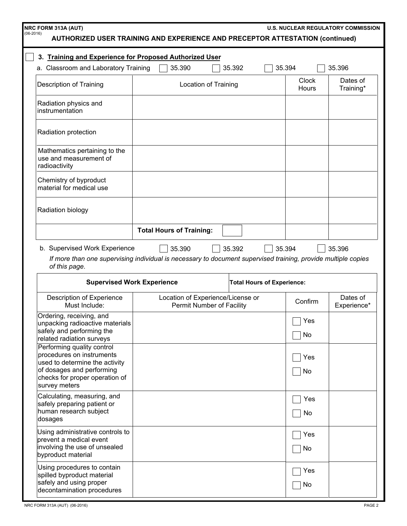| AUTHORIZED USER TRAINING AND EXPERIENCE AND PRECEPTOR ATTESTATION (continued)                                                                                                                                                                                                                                |                                 |                                                                |        | <b>U.S. NUCLEAR REGULATORY COMMISSION</b> |                         |
|--------------------------------------------------------------------------------------------------------------------------------------------------------------------------------------------------------------------------------------------------------------------------------------------------------------|---------------------------------|----------------------------------------------------------------|--------|-------------------------------------------|-------------------------|
| 3. Training and Experience for Proposed Authorized User                                                                                                                                                                                                                                                      |                                 |                                                                |        |                                           |                         |
| a. Classroom and Laboratory Training                                                                                                                                                                                                                                                                         | 35.390                          | 35.392                                                         | 35.394 |                                           | 35.396                  |
| <b>Description of Training</b>                                                                                                                                                                                                                                                                               |                                 | Location of Training                                           |        | Clock<br>Hours                            | Dates of<br>Training*   |
| Radiation physics and<br>instrumentation                                                                                                                                                                                                                                                                     |                                 |                                                                |        |                                           |                         |
| Radiation protection                                                                                                                                                                                                                                                                                         |                                 |                                                                |        |                                           |                         |
| Mathematics pertaining to the<br>use and measurement of<br>radioactivity                                                                                                                                                                                                                                     |                                 |                                                                |        |                                           |                         |
| Chemistry of byproduct<br>material for medical use                                                                                                                                                                                                                                                           |                                 |                                                                |        |                                           |                         |
| <b>Radiation biology</b>                                                                                                                                                                                                                                                                                     |                                 |                                                                |        |                                           |                         |
|                                                                                                                                                                                                                                                                                                              | <b>Total Hours of Training:</b> |                                                                |        |                                           |                         |
| b. Supervised Work Experience<br>35.392<br>35.390<br>35.394<br>35.396<br>If more than one supervising individual is necessary to document supervised training, provide multiple copies<br>of this page.<br><b>Supervised Work Experience</b><br><b>Total Hours of Experience:</b>                            |                                 |                                                                |        |                                           |                         |
| Description of Experience<br>Must Include:                                                                                                                                                                                                                                                                   |                                 | Location of Experience/License or<br>Permit Number of Facility |        | Confirm                                   |                         |
| Ordering, receiving, and<br>unpacking radioactive materials<br>safely and performing the                                                                                                                                                                                                                     |                                 |                                                                |        |                                           | Dates of<br>Experience* |
|                                                                                                                                                                                                                                                                                                              |                                 |                                                                |        | $\Box$ Yes<br>No                          |                         |
| related radiation surveys<br>procedures on instruments                                                                                                                                                                                                                                                       |                                 |                                                                |        | Yes<br>No                                 |                         |
| Calculating, measuring, and<br>human research subject                                                                                                                                                                                                                                                        |                                 |                                                                |        | Yes<br>No                                 |                         |
| Performing quality control<br>used to determine the activity<br>of dosages and performing<br>checks for proper operation of<br>survey meters<br>safely preparing patient or<br>dosages<br>Using administrative controls to<br>prevent a medical event<br>involving the use of unsealed<br>byproduct material |                                 |                                                                |        | Yes<br>No                                 |                         |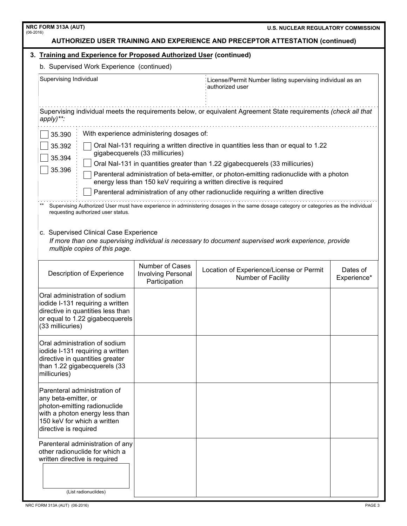|                                           | <b>NRC FORM 313A (AUT)</b><br><b>U.S. NUCLEAR REGULATORY COMMISSION</b><br>$(06-2016)$                                                                                          |                                                                               |                                                                                                                                                                |                         |  |
|-------------------------------------------|---------------------------------------------------------------------------------------------------------------------------------------------------------------------------------|-------------------------------------------------------------------------------|----------------------------------------------------------------------------------------------------------------------------------------------------------------|-------------------------|--|
|                                           | <b>AUTHORIZED USER TRAINING AND EXPERIENCE AND PRECEPTOR ATTESTATION (continued)</b>                                                                                            |                                                                               |                                                                                                                                                                |                         |  |
|                                           | 3. Training and Experience for Proposed Authorized User (continued)                                                                                                             |                                                                               |                                                                                                                                                                |                         |  |
| b. Supervised Work Experience (continued) |                                                                                                                                                                                 |                                                                               |                                                                                                                                                                |                         |  |
|                                           | Supervising Individual                                                                                                                                                          | License/Permit Number listing supervising individual as an<br>authorized user |                                                                                                                                                                |                         |  |
|                                           | apply)**:                                                                                                                                                                       |                                                                               | Supervising individual meets the requirements below, or equivalent Agreement State requirements (check all that                                                |                         |  |
|                                           | 35.390                                                                                                                                                                          | With experience administering dosages of:                                     |                                                                                                                                                                |                         |  |
|                                           | Oral NaI-131 requiring a written directive in quantities less than or equal to 1.22<br>35.392<br>gigabecquerels (33 millicuries)<br>35.394                                      |                                                                               |                                                                                                                                                                |                         |  |
|                                           | 35.396                                                                                                                                                                          |                                                                               | Oral Nal-131 in quantities greater than 1.22 gigabecquerels (33 millicuries)                                                                                   |                         |  |
|                                           |                                                                                                                                                                                 |                                                                               | Parenteral administration of beta-emitter, or photon-emitting radionuclide with a photon<br>energy less than 150 keV requiring a written directive is required |                         |  |
|                                           |                                                                                                                                                                                 |                                                                               | Parenteral administration of any other radionuclide requiring a written directive                                                                              |                         |  |
|                                           | requesting authorized user status.                                                                                                                                              |                                                                               | Supervising Authorized User must have experience in administering dosages in the same dosage category or categories as the individual                          |                         |  |
|                                           | c. Supervised Clinical Case Experience<br>If more than one supervising individual is necessary to document supervised work experience, provide<br>multiple copies of this page. |                                                                               |                                                                                                                                                                |                         |  |
|                                           | Description of Experience                                                                                                                                                       | Number of Cases<br>Involving Personal<br>Participation                        | Location of Experience/License or Permit<br>Number of Facility                                                                                                 | Dates of<br>Experience* |  |
|                                           | Oral administration of sodium<br>iodide I-131 requiring a written<br>directive in quantities less than<br>or equal to 1.22 gigabecquerels<br>(33 millicuries)                   |                                                                               |                                                                                                                                                                |                         |  |
|                                           | Oral administration of sodium<br>iodide I-131 requiring a written<br>directive in quantities greater<br>than 1.22 gigabecquerels (33<br>millicuries)                            |                                                                               |                                                                                                                                                                |                         |  |
|                                           | Parenteral administration of<br>any beta-emitter, or<br>photon-emitting radionuclide<br>with a photon energy less than<br>150 keV for which a written<br>directive is required  |                                                                               |                                                                                                                                                                |                         |  |
|                                           | Parenteral administration of any<br>other radionuclide for which a<br>written directive is required                                                                             |                                                                               |                                                                                                                                                                |                         |  |
|                                           | (List radionuclides)                                                                                                                                                            |                                                                               |                                                                                                                                                                |                         |  |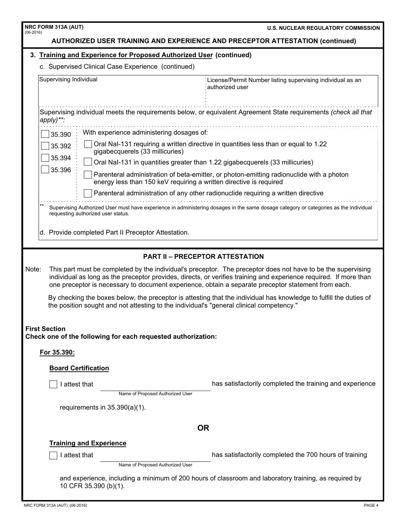| NRC FORM 313A (AUT)<br>$(06-2016)$                                                                                                                                                                                                                                                                                                                | <b>U.S. NUCLEAR REGULATORY COMMISSION</b>                                                                                             |  |  |  |
|---------------------------------------------------------------------------------------------------------------------------------------------------------------------------------------------------------------------------------------------------------------------------------------------------------------------------------------------------|---------------------------------------------------------------------------------------------------------------------------------------|--|--|--|
| <b>AUTHORIZED USER TRAINING AND EXPERIENCE AND PRECEPTOR ATTESTATION (continued)</b>                                                                                                                                                                                                                                                              |                                                                                                                                       |  |  |  |
| 3. Training and Experience for Proposed Authorized User (continued)                                                                                                                                                                                                                                                                               |                                                                                                                                       |  |  |  |
| c. Supervised Clinical Case Experience (continued)                                                                                                                                                                                                                                                                                                |                                                                                                                                       |  |  |  |
| Supervising Individual                                                                                                                                                                                                                                                                                                                            | License/Permit Number listing supervising individual as an<br>authorized user                                                         |  |  |  |
| Supervising individual meets the requirements below, or equivalent Agreement State requirements (check all that<br>apply)**:                                                                                                                                                                                                                      |                                                                                                                                       |  |  |  |
| With experience administering dosages of:<br>35.390                                                                                                                                                                                                                                                                                               |                                                                                                                                       |  |  |  |
| 35.392<br>gigabecquerels (33 millicuries)<br>35.394                                                                                                                                                                                                                                                                                               | Oral NaI-131 requiring a written directive in quantities less than or equal to 1.22                                                   |  |  |  |
| 35.396                                                                                                                                                                                                                                                                                                                                            | Oral Nal-131 in quantities greater than 1.22 gigabecquerels (33 millicuries)                                                          |  |  |  |
| energy less than 150 keV requiring a written directive is required                                                                                                                                                                                                                                                                                | Parenteral administration of beta-emitter, or photon-emitting radionuclide with a photon                                              |  |  |  |
|                                                                                                                                                                                                                                                                                                                                                   | Parenteral administration of any other radionuclide requiring a written directive                                                     |  |  |  |
| requesting authorized user status.<br>d. Provide completed Part II Preceptor Attestation.                                                                                                                                                                                                                                                         | Supervising Authorized User must have experience in administering dosages in the same dosage category or categories as the individual |  |  |  |
|                                                                                                                                                                                                                                                                                                                                                   | <b>PART II - PRECEPTOR ATTESTATION</b>                                                                                                |  |  |  |
| Note:<br>This part must be completed by the individual's preceptor. The preceptor does not have to be the supervising<br>individual as long as the preceptor provides, directs, or verifies training and experience required. If more than<br>one preceptor is necessary to document experience, obtain a separate preceptor statement from each. |                                                                                                                                       |  |  |  |
| By checking the boxes below, the preceptor is attesting that the individual has knowledge to fulfill the duties of<br>the position sought and not attesting to the individual's "general clinical competency."                                                                                                                                    |                                                                                                                                       |  |  |  |
| <b>First Section</b><br>Check one of the following for each requested authorization:                                                                                                                                                                                                                                                              |                                                                                                                                       |  |  |  |
| For 35.390:                                                                                                                                                                                                                                                                                                                                       |                                                                                                                                       |  |  |  |
| <b>Board Certification</b>                                                                                                                                                                                                                                                                                                                        |                                                                                                                                       |  |  |  |
| I attest that                                                                                                                                                                                                                                                                                                                                     | has satisfactorily completed the training and experience                                                                              |  |  |  |
| Name of Proposed Authorized User                                                                                                                                                                                                                                                                                                                  |                                                                                                                                       |  |  |  |
|                                                                                                                                                                                                                                                                                                                                                   | requirements in $35.390(a)(1)$ .                                                                                                      |  |  |  |
| <b>OR</b>                                                                                                                                                                                                                                                                                                                                         |                                                                                                                                       |  |  |  |
| <b>Training and Experience</b>                                                                                                                                                                                                                                                                                                                    |                                                                                                                                       |  |  |  |
| I attest that<br>Name of Proposed Authorized User                                                                                                                                                                                                                                                                                                 | has satisfactorily completed the 700 hours of training                                                                                |  |  |  |
| and experience, including a minimum of 200 hours of classroom and laboratory training, as required by<br>10 CFR 35.390 (b)(1).                                                                                                                                                                                                                    |                                                                                                                                       |  |  |  |

ı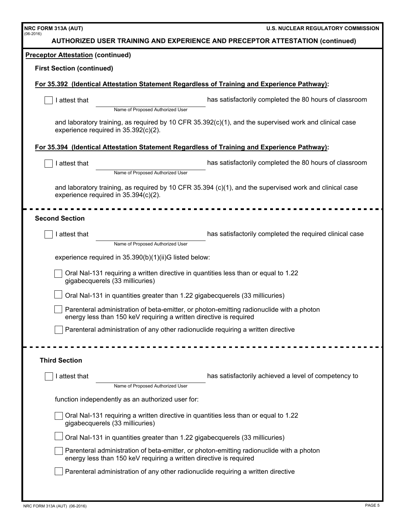| NRC FORM 313A (AUT)                      |                                                                              | <b>U.S. NUCLEAR REGULATORY COMMISSION</b>                                                                  |
|------------------------------------------|------------------------------------------------------------------------------|------------------------------------------------------------------------------------------------------------|
| $(06-2016)$                              |                                                                              | <b>AUTHORIZED USER TRAINING AND EXPERIENCE AND PRECEPTOR ATTESTATION (continued)</b>                       |
| <b>Preceptor Attestation (continued)</b> |                                                                              |                                                                                                            |
| <b>First Section (continued)</b>         |                                                                              |                                                                                                            |
|                                          |                                                                              | For 35.392 (Identical Attestation Statement Regardless of Training and Experience Pathway):                |
| I attest that                            |                                                                              | has satisfactorily completed the 80 hours of classroom                                                     |
|                                          | Name of Proposed Authorized User                                             |                                                                                                            |
| experience required in 35.392(c)(2).     |                                                                              | and laboratory training, as required by 10 CFR 35.392(c)(1), and the supervised work and clinical case     |
|                                          |                                                                              | For 35.394 (Identical Attestation Statement Regardless of Training and Experience Pathway):                |
| I attest that                            |                                                                              | has satisfactorily completed the 80 hours of classroom                                                     |
|                                          | Name of Proposed Authorized User                                             |                                                                                                            |
| experience required in 35.394(c)(2).     |                                                                              | and laboratory training, as required by 10 CFR 35.394 $(c)(1)$ , and the supervised work and clinical case |
|                                          |                                                                              |                                                                                                            |
| <b>Second Section</b>                    |                                                                              |                                                                                                            |
| I attest that                            |                                                                              | has satisfactorily completed the required clinical case                                                    |
|                                          | Name of Proposed Authorized User                                             |                                                                                                            |
|                                          | experience required in 35.390(b)(1)(ii)G listed below:                       |                                                                                                            |
|                                          | gigabecquerels (33 millicuries)                                              | Oral Nal-131 requiring a written directive in quantities less than or equal to 1.22                        |
|                                          | Oral Nal-131 in quantities greater than 1.22 gigabecquerels (33 millicuries) |                                                                                                            |
|                                          | energy less than 150 keV requiring a written directive is required           | Parenteral administration of beta-emitter, or photon-emitting radionuclide with a photon                   |
|                                          |                                                                              | Parenteral administration of any other radionuclide requiring a written directive                          |
|                                          |                                                                              |                                                                                                            |
| <b>Third Section</b>                     |                                                                              |                                                                                                            |
| I attest that                            |                                                                              | has satisfactorily achieved a level of competency to                                                       |
|                                          | Name of Proposed Authorized User                                             |                                                                                                            |
|                                          | function independently as an authorized user for:                            |                                                                                                            |
|                                          | gigabecquerels (33 millicuries)                                              | Oral Nal-131 requiring a written directive in quantities less than or equal to 1.22                        |
|                                          | Oral Nal-131 in quantities greater than 1.22 gigabecquerels (33 millicuries) |                                                                                                            |
|                                          | energy less than 150 keV requiring a written directive is required           | Parenteral administration of beta-emitter, or photon-emitting radionuclide with a photon                   |
|                                          |                                                                              | Parenteral administration of any other radionuclide requiring a written directive                          |
|                                          |                                                                              |                                                                                                            |